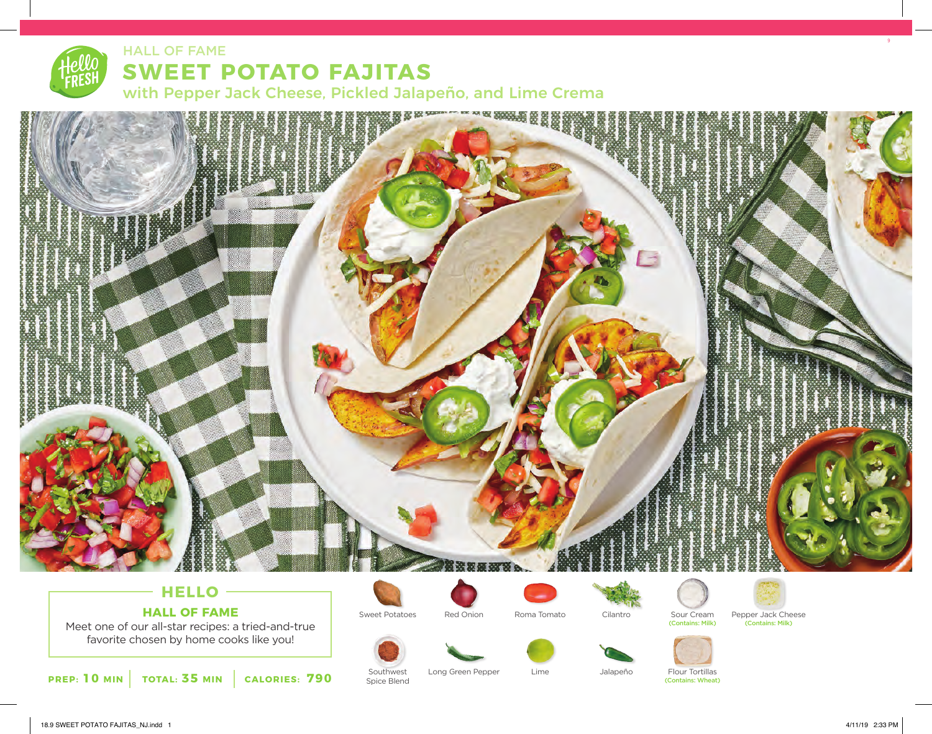# HALL OF FAME **SWEET POTATO FAJITAS**

with Pepper Jack Cheese, Pickled Jalapeño, and Lime Crema



## **HELLO HALL OF FAME**

Meet one of our all-star recipes: a tried-and-true favorite chosen by home cooks like you!

**PREP: 10 MIN TOTAL: 35 MIN CALORIES: 790**



Southwest Spice Blend





Sweet Potatoes Red Onion Roma Tomato Cilantro Sour Cream Pepper Jack Cheese (Contains: Milk) (Contains: Milk)



Long Green Pepper Lime Jalapeño Flour Tortillas (Contains: Wheat)



18.9 SWEET POTATO FAJITAS\_NJ.indd 1 4/11/19 2:33 PM

9